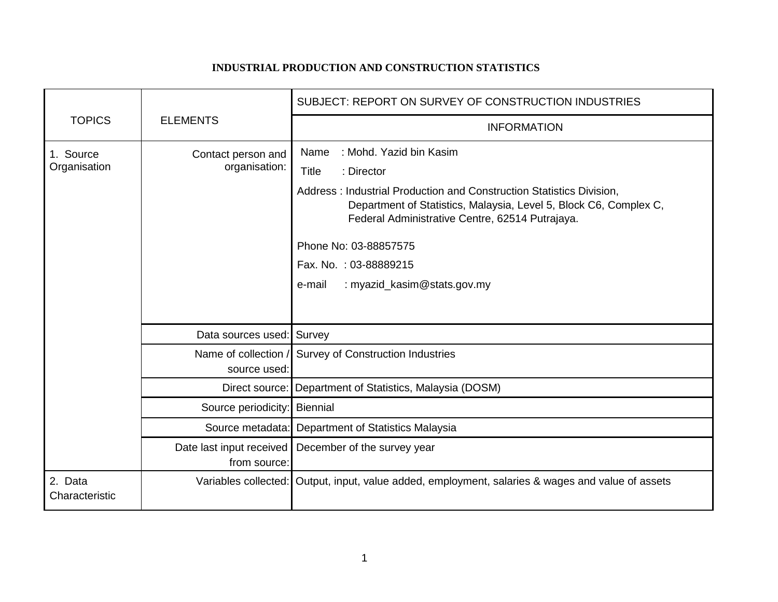## **INDUSTRIAL PRODUCTION AND CONSTRUCTION STATISTICS**

|                           |                                     | SUBJECT: REPORT ON SURVEY OF CONSTRUCTION INDUSTRIES                                                                                                                                                                                                                                                                                                     |
|---------------------------|-------------------------------------|----------------------------------------------------------------------------------------------------------------------------------------------------------------------------------------------------------------------------------------------------------------------------------------------------------------------------------------------------------|
| <b>TOPICS</b>             | <b>ELEMENTS</b>                     | <b>INFORMATION</b>                                                                                                                                                                                                                                                                                                                                       |
| 1. Source<br>Organisation | Contact person and<br>organisation: | : Mohd. Yazid bin Kasim<br>Name<br><b>Title</b><br>: Director<br>Address: Industrial Production and Construction Statistics Division,<br>Department of Statistics, Malaysia, Level 5, Block C6, Complex C,<br>Federal Administrative Centre, 62514 Putrajaya.<br>Phone No: 03-88857575<br>Fax. No.: 03-88889215<br>: myazid_kasim@stats.gov.my<br>e-mail |
|                           | Data sources used: Survey           |                                                                                                                                                                                                                                                                                                                                                          |
|                           | source used:                        | Name of collection / Survey of Construction Industries                                                                                                                                                                                                                                                                                                   |
|                           |                                     | Direct source: Department of Statistics, Malaysia (DOSM)                                                                                                                                                                                                                                                                                                 |
|                           | Source periodicity: Biennial        |                                                                                                                                                                                                                                                                                                                                                          |
|                           | Source metadata:                    | Department of Statistics Malaysia                                                                                                                                                                                                                                                                                                                        |
|                           | from source:                        | Date last input received   December of the survey year                                                                                                                                                                                                                                                                                                   |
| 2. Data<br>Characteristic |                                     | Variables collected: Output, input, value added, employment, salaries & wages and value of assets                                                                                                                                                                                                                                                        |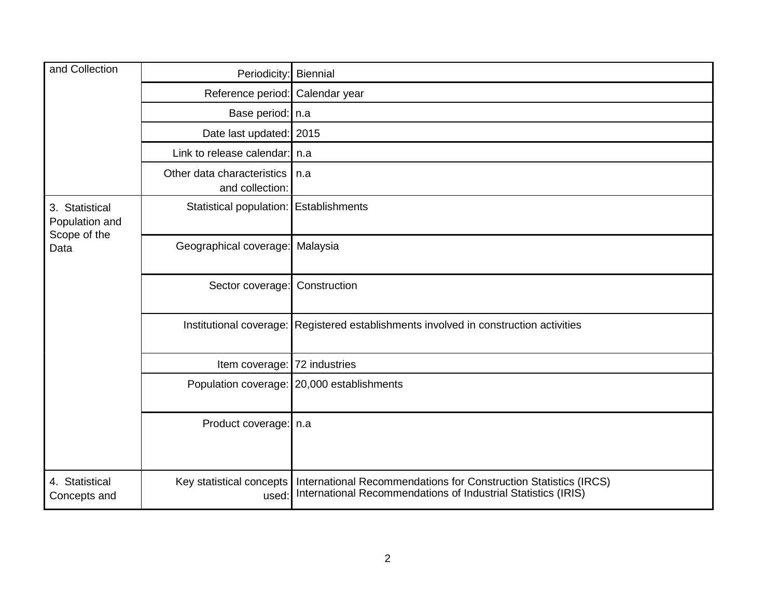| and Collection                                           | Periodicity:                                  | <b>Biennial</b>                                                                                                                   |
|----------------------------------------------------------|-----------------------------------------------|-----------------------------------------------------------------------------------------------------------------------------------|
|                                                          | Reference period: Calendar year               |                                                                                                                                   |
|                                                          | Base period:   n.a                            |                                                                                                                                   |
|                                                          | Date last updated: 2015                       |                                                                                                                                   |
|                                                          | Link to release calendar: n.a                 |                                                                                                                                   |
|                                                          | Other data characteristics<br>and collection: | n.a                                                                                                                               |
| 3. Statistical<br>Population and<br>Scope of the<br>Data | Statistical population: Establishments        |                                                                                                                                   |
|                                                          | Geographical coverage:                        | Malaysia                                                                                                                          |
|                                                          | Sector coverage: Construction                 |                                                                                                                                   |
|                                                          |                                               | Institutional coverage: Registered establishments involved in construction activities                                             |
|                                                          | Item coverage: 72 industries                  |                                                                                                                                   |
|                                                          |                                               | Population coverage: 20,000 establishments                                                                                        |
|                                                          | Product coverage:   n.a                       |                                                                                                                                   |
| 4. Statistical<br>Concepts and                           | Key statistical concepts<br>used:             | International Recommendations for Construction Statistics (IRCS)<br>International Recommendations of Industrial Statistics (IRIS) |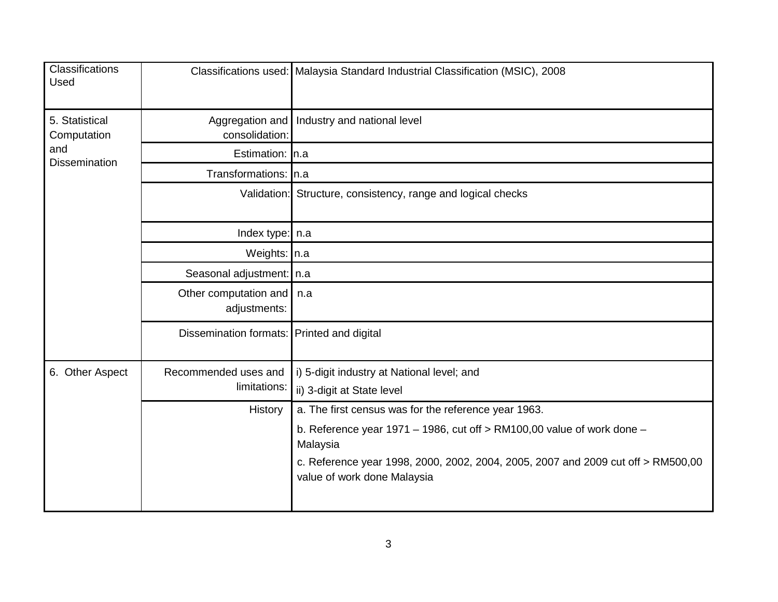| <b>Classifications</b><br>Used                               |                                             | Classifications used: Malaysia Standard Industrial Classification (MSIC), 2008                                  |
|--------------------------------------------------------------|---------------------------------------------|-----------------------------------------------------------------------------------------------------------------|
| 5. Statistical<br>Computation<br>and<br><b>Dissemination</b> | Aggregation and<br>consolidation:           | Industry and national level                                                                                     |
|                                                              | Estimation: In.a                            |                                                                                                                 |
|                                                              | Transformations: In.a                       |                                                                                                                 |
|                                                              |                                             | Validation: Structure, consistency, range and logical checks                                                    |
|                                                              | Index type: $\ln a$                         |                                                                                                                 |
|                                                              | Weights: In.a                               |                                                                                                                 |
|                                                              | Seasonal adjustment:   n.a                  |                                                                                                                 |
|                                                              | Other computation and   n.a<br>adjustments: |                                                                                                                 |
|                                                              | Dissemination formats: Printed and digital  |                                                                                                                 |
| 6. Other Aspect                                              | Recommended uses and<br>limitations:        | i) 5-digit industry at National level; and                                                                      |
|                                                              |                                             | ii) 3-digit at State level                                                                                      |
|                                                              | <b>History</b>                              | a. The first census was for the reference year 1963.                                                            |
|                                                              |                                             | b. Reference year 1971 – 1986, cut off $>$ RM100,00 value of work done –<br>Malaysia                            |
|                                                              |                                             | c. Reference year 1998, 2000, 2002, 2004, 2005, 2007 and 2009 cut off > RM500,00<br>value of work done Malaysia |
|                                                              |                                             |                                                                                                                 |